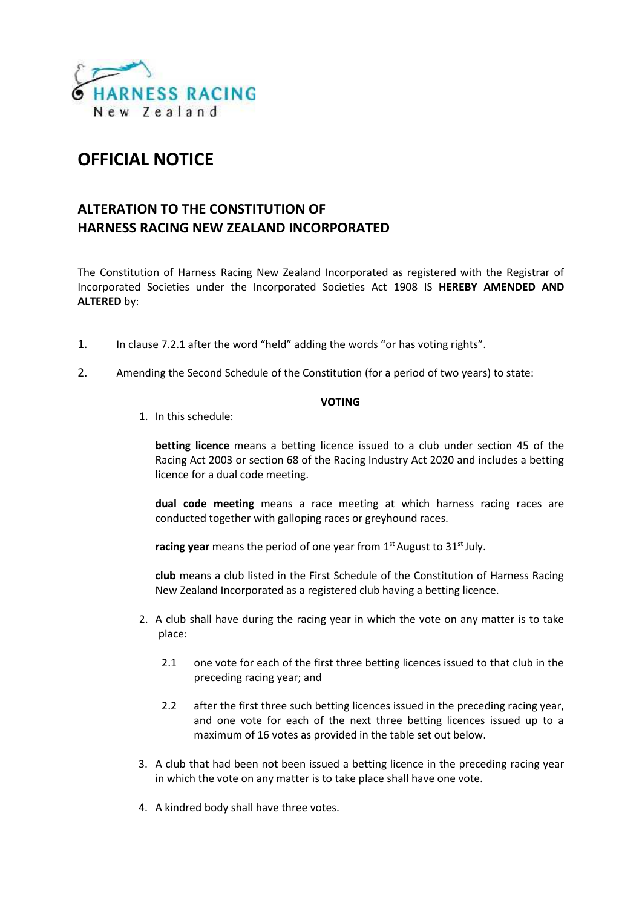

## **OFFICIAL NOTICE**

## **ALTERATION TO THE CONSTITUTION OF HARNESS RACING NEW ZEALAND INCORPORATED**

The Constitution of Harness Racing New Zealand Incorporated as registered with the Registrar of Incorporated Societies under the Incorporated Societies Act 1908 IS **HEREBY AMENDED AND ALTERED** by:

- 1. In clause 7.2.1 after the word "held" adding the words "or has voting rights".
- 2. Amending the Second Schedule of the Constitution (for a period of two years) to state:

## **VOTING**

1. In this schedule:

**betting licence** means a betting licence issued to a club under section 45 of the Racing Act 2003 or section 68 of the Racing Industry Act 2020 and includes a betting licence for a dual code meeting.

**dual code meeting** means a race meeting at which harness racing races are conducted together with galloping races or greyhound races.

racing year means the period of one year from 1<sup>st</sup> August to 31<sup>st</sup> July.

**club** means a club listed in the First Schedule of the Constitution of Harness Racing New Zealand Incorporated as a registered club having a betting licence.

- 2. A club shall have during the racing year in which the vote on any matter is to take place:
	- 2.1 one vote for each of the first three betting licences issued to that club in the preceding racing year; and
	- 2.2 after the first three such betting licences issued in the preceding racing year, and one vote for each of the next three betting licences issued up to a maximum of 16 votes as provided in the table set out below.
- 3. A club that had been not been issued a betting licence in the preceding racing year in which the vote on any matter is to take place shall have one vote.
- 4. A kindred body shall have three votes.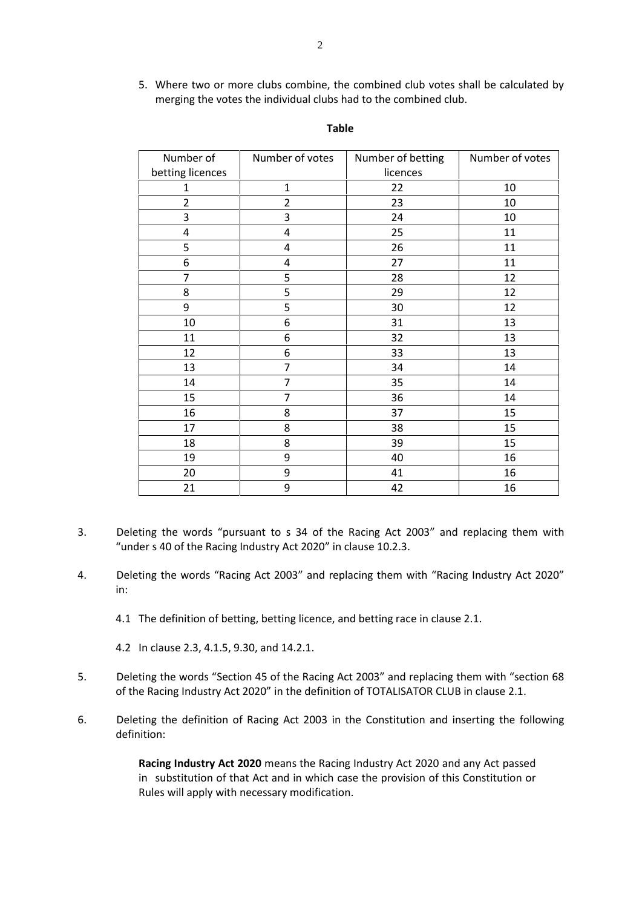5. Where two or more clubs combine, the combined club votes shall be calculated by merging the votes the individual clubs had to the combined club.

| Number of        | Number of votes | Number of betting | Number of votes |
|------------------|-----------------|-------------------|-----------------|
| betting licences |                 | licences          |                 |
| $\mathbf{1}$     | $\mathbf{1}$    | 22                | 10              |
| $\overline{2}$   | $\overline{2}$  | 23                | 10              |
| 3                | 3               | 24                | 10              |
| 4                | 4               | 25                | 11              |
| 5                | 4               | 26                | 11              |
| 6                | 4               | 27                | 11              |
| 7                | 5               | 28                | 12              |
| 8                | 5               | 29                | 12              |
| 9                | 5               | 30                | 12              |
| 10               | 6               | 31                | 13              |
| 11               | 6               | 32                | 13              |
| 12               | 6               | 33                | 13              |
| 13               | 7               | 34                | 14              |
| 14               | $\overline{7}$  | 35                | 14              |
| 15               | 7               | 36                | 14              |
| 16               | 8               | 37                | 15              |
| 17               | 8               | 38                | 15              |
| 18               | 8               | 39                | 15              |
| 19               | 9               | 40                | 16              |
| 20               | 9               | 41                | 16              |
| 21               | 9               | 42                | 16              |

## **Table**

- 3. Deleting the words "pursuant to s 34 of the Racing Act 2003" and replacing them with "under s 40 of the Racing Industry Act 2020" in clause 10.2.3.
- 4. Deleting the words "Racing Act 2003" and replacing them with "Racing Industry Act 2020" in:
	- 4.1 The definition of betting, betting licence, and betting race in clause 2.1.

4.2 In clause 2.3, 4.1.5, 9.30, and 14.2.1.

- 5. Deleting the words "Section 45 of the Racing Act 2003" and replacing them with "section 68 of the Racing Industry Act 2020" in the definition of TOTALISATOR CLUB in clause 2.1.
- 6. Deleting the definition of Racing Act 2003 in the Constitution and inserting the following definition:

**Racing Industry Act 2020** means the Racing Industry Act 2020 and any Act passed in substitution of that Act and in which case the provision of this Constitution or Rules will apply with necessary modification.